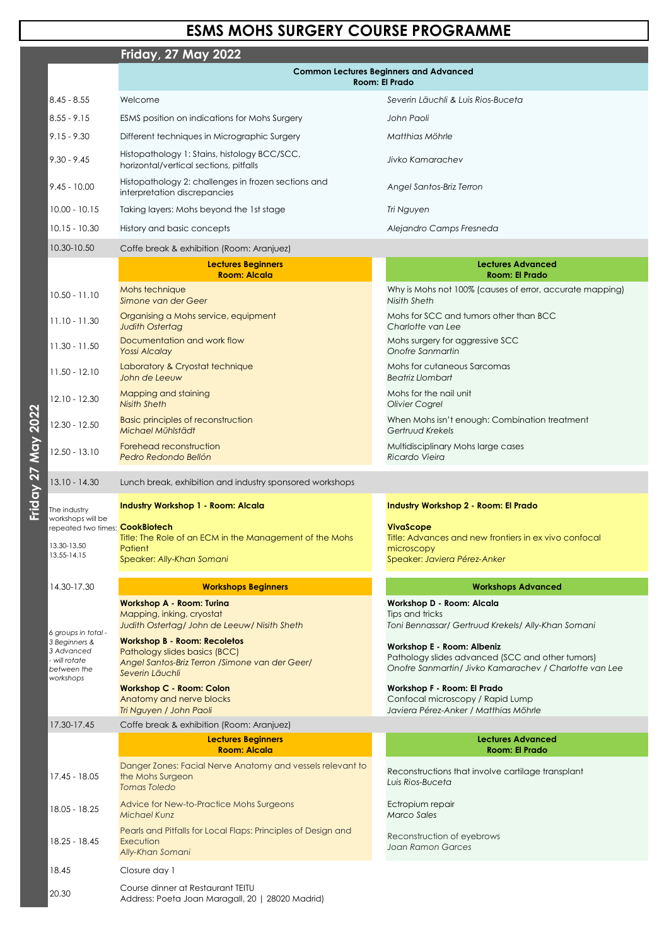## **Friday, 27 May 2022**

Friday 27 May 2022 **Friday 27 May 2022**

|                                                                                                 | <b>Common Lectures Beginners and Advanced</b><br><b>Room: El Prado</b>                                                                     |                                                                                                                                                 |
|-------------------------------------------------------------------------------------------------|--------------------------------------------------------------------------------------------------------------------------------------------|-------------------------------------------------------------------------------------------------------------------------------------------------|
| $8.45 - 8.55$                                                                                   | Welcome                                                                                                                                    | Severin Läuchli & Luis Rios-Buceta                                                                                                              |
| $ 8.55 - 9.15 $                                                                                 | ESMS position on indications for Mohs Surgery                                                                                              | John Paoli                                                                                                                                      |
| $ 9.15 - 9.30 $                                                                                 | Different techniques in Micrographic Surgery                                                                                               | Matthias Möhrle                                                                                                                                 |
| $ 9.30 - 9.45$                                                                                  | Histopathology 1: Stains, histology BCC/SCC,<br>horizontal/vertical sections, pitfalls                                                     | Jivko Kamarachev                                                                                                                                |
| $ 9.45 - 10.00$                                                                                 | Histopathology 2: challenges in frozen sections and<br>interpretation discrepancies                                                        | Angel Santos-Briz Terron                                                                                                                        |
| $10.00 - 10.15$                                                                                 | Taking layers: Mohs beyond the 1st stage                                                                                                   | Tri Nguyen                                                                                                                                      |
| $10.15 - 10.30$                                                                                 | History and basic concepts                                                                                                                 | Alejandro Camps Fresneda                                                                                                                        |
| 10.30-10.50                                                                                     | Coffe break & exhibition (Room: Aranjuez)                                                                                                  |                                                                                                                                                 |
|                                                                                                 | <b>Lectures Beginners</b><br><b>Room: Alcala</b>                                                                                           | <b>Lectures Advanced</b><br><b>Room: El Prado</b>                                                                                               |
| $10.50 - 11.10$                                                                                 | Mohs technique<br>Simone van der Geer                                                                                                      | Why is Mohs not 100% (causes of error, accurate mapping)<br>Nisith Sheth                                                                        |
| $11.10 - 11.30$                                                                                 | Organising a Mohs service, equipment<br><b>Judith Ostertag</b>                                                                             | Mohs for SCC and tumors other than BCC<br>Charlotte van Lee                                                                                     |
| $ 11.30 - 11.50$                                                                                | Documentation and work flow<br><b>Yossi Alcalay</b>                                                                                        | Mohs surgery for aggressive SCC<br>Onofre Sanmartin                                                                                             |
| $11.50 - 12.10$                                                                                 | Laboratory & Cryostat technique<br>John de Leeuw                                                                                           | Mohs for cutaneous Sarcomas<br><b>Beatriz Llombart</b>                                                                                          |
| $12.10 - 12.30$                                                                                 | <b>Mapping and staining</b><br><b>Nisith Sheth</b>                                                                                         | Mohs for the nail unit<br>Olivier Cogrel                                                                                                        |
| 12.30 - 12.50                                                                                   | <b>Basic principles of reconstruction</b><br>Michael Mühlstädt                                                                             | When Mohs isn't enough: Combination treatment<br>Gertruud Krekels                                                                               |
| $12.50 - 13.10$                                                                                 | Forehead reconstruction<br>Pedro Redondo Bellón                                                                                            | Multidisciplinary Mohs large cases<br>Ricardo Vieira                                                                                            |
| $13.10 - 14.30$                                                                                 | Lunch break, exhibition and industry sponsored workshops                                                                                   |                                                                                                                                                 |
| The industry<br>workshops will be                                                               | <b>Industry Workshop 1 - Room: Alcala</b>                                                                                                  | Industry Workshop 2 - Room: El Prado                                                                                                            |
| repeated two times: CookBiotech                                                                 |                                                                                                                                            | <b>VivaScope</b>                                                                                                                                |
| 13.30-13.50<br>13.55-14.15                                                                      | Title: The Role of an ECM in the Management of the Mohs<br>Patient                                                                         | Title: Advances and new frontiers in ex vivo confocal<br>microscopy                                                                             |
|                                                                                                 | Speaker: Ally-Khan Somani                                                                                                                  | Speaker: Javiera Pérez-Anker                                                                                                                    |
| 14.30-17.30                                                                                     | <b>Workshops Beginners</b>                                                                                                                 | <b>Workshops Advanced</b>                                                                                                                       |
|                                                                                                 | <b>Workshop A - Room: Turina</b><br>Mapping, inking, cryostat<br>Judith Ostertag/ John de Leeuw/ Nisith Sheth                              | Workshop D - Room: Alcala<br>Tips and tricks<br>Toni Bennassar/ Gertruud Krekels/ Ally-Khan Somani                                              |
| 6 groups in total -<br>3 Beginners &<br>3 Advanced<br>- will rotate<br>between the<br>workshops | <b>Workshop B - Room: Recoletos</b><br>Pathology slides basics (BCC)<br>Angel Santos-Briz Terron / Simone van der Geer/<br>Severin Läuchli | <b>Workshop E - Room: Albeniz</b><br>Pathology slides advanced (SCC and other tumors)<br>Onofre Sanmartin/ Jivko Kamarachev / Charlotte van Lee |
|                                                                                                 | <b>Workshop C - Room: Colon</b>                                                                                                            | Workshop F - Room: El Prado                                                                                                                     |

Anatomy and nerve blocks *Tri Nguyen / John Paoli*

Confocal microscopy / Rapid Lump *Javiera Pérez-Anker / Matthias Möhrle*

| 17.30-17.45   | Coffe break & exhibition (Room: Aranjuez)                                                      |                                                                       |
|---------------|------------------------------------------------------------------------------------------------|-----------------------------------------------------------------------|
|               | Lectures Beginners<br><b>Room: Alcala</b>                                                      | Lectures Advanced<br><b>Room: El Prado</b>                            |
| 17.45 - 18.05 | Danger Zones: Facial Nerve Anatomy and vessels relevant to<br>the Mohs Surgeon<br>Tomas Toledo | Reconstructions that involve cartilage transplant<br>Luis Rios-Buceta |
| 18.05 - 18.25 | Advice for New-to-Practice Mohs Surgeons<br><b>Michael Kunz</b>                                | Ectropium repair<br><b>Marco Sales</b>                                |
| 18.25 - 18.45 | Pearls and Pitfalls for Local Flaps: Principles of Design and<br>Execution<br>Ally-Khan Somani | Reconstruction of eyebrows<br>Joan Ramon Garces                       |
| 18.45         | Closure day 1                                                                                  |                                                                       |
| 20.30         | Course dinner at Restaurant TEITU<br>Address: Poeta Joan Maragall, 20   28020 Madrid)          |                                                                       |

## **ESMS MOHS SURGERY COURSE PROGRAMME**